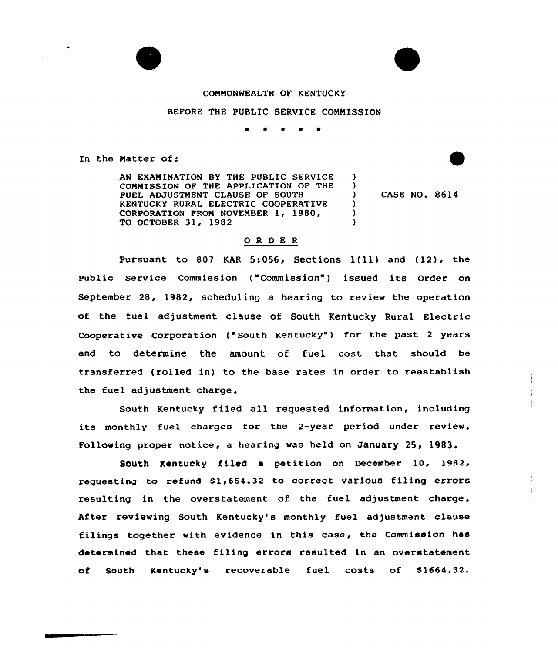

## COMMONWEALTH OF KENTUCKY

## BEFORE THE PUBLIC SERVICE COMMISSION

\* \* \*

In the Natter of:

AN EXAMINATION BY THE PUBLIC SERVICE COMMISSION OF THE APPLICATION OF THE FUEL ADJUSTMENT CLAUSE OF SOUTH KENTUCKY RURAL ELECTRIC COOPERATIVE CORPORATION FROM NOVEMBER 1, 1980/ TO OCTOBER 31, 1982

CASE NO. 8614

)  $\left\{ \right\}$ 

 $\lambda$ ) )

## ORDER

Pursuant to <sup>807</sup> KAR 5:056, Sections l(ll) and (12), the Public Service Commission ("Commission" ) issued its Order on September 28, 1982, scheduling a hearing to review the operation of the fuel adjustment clause of South Kentucky Rural Electric Cooperative Corporation ("South Kentucky") for the past 2 years and to determine the amount of fuel cost that should be transferred (rolled in) to the base rates in order to reestablish the fuel adjustment charge.

South Kentucky filed all requested information, including its monthly fuel charges for the 2-year period under review. Following proper notice, a hearing was held on January 25, 1983.

South Kentucky filed a petition on December 10, 1982, requesting to refund \$1,664.32 to correct various filing errors resulting in the overstatement of the fuel adjustment charge. After reviewing South Kentucky's monthly fuel adjustment clause filings together with evidence in this case, the Commission has determined that these filing errors resulted in an overstatement of South Kentucky's recoverable fuel costs of \$1664.32.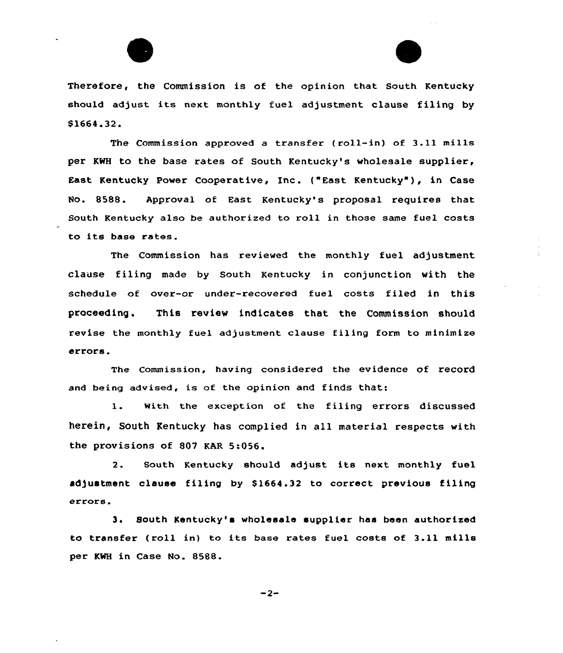



Therefore, the Commission is of the opinion that South Kentucky should adjust its next monthly fuel adjustment clause filing by S1664.32.

The Commission approved a transfer {roll-in) of 3.11 mills per KWH to the base rates of South Kentucky's wholesale supplier, East Kentucky Power Cooperative, Enc. {"East Kentucky" ), in Case Ho. 8588. Approval of East Kentucky's proposal requires that South Kentucky also be authorized to roll in those same fuel costs to its base rates.

The Commission has reviewed the monthly fuel adjustment clause filing made by South Kentucky in conjunction with the schedule of over-or under-recovered fuel costs filed in this proceeding. This review indicates that the Commission should revise the monthly fuel adjustment clause filing form to minimize errors.

The commission, having considered the evidence of record and being advised, is of the opinion and finds that:

l. with the exception of the filing errors discussed herein, South Kentucky has complied in all material respects with the provisions of 807 KAR 5:056.

2. South Kentucky should adjust its next monthly fuel adjustment clause filing by S1664.32 to correct previous filing errors.

3. South Kentucky's wholesale supplier has been authorized to transfer (roll in) to its base rates fuel costs of 3.11 mills per KWH in Case No. 8588.

 $-2-$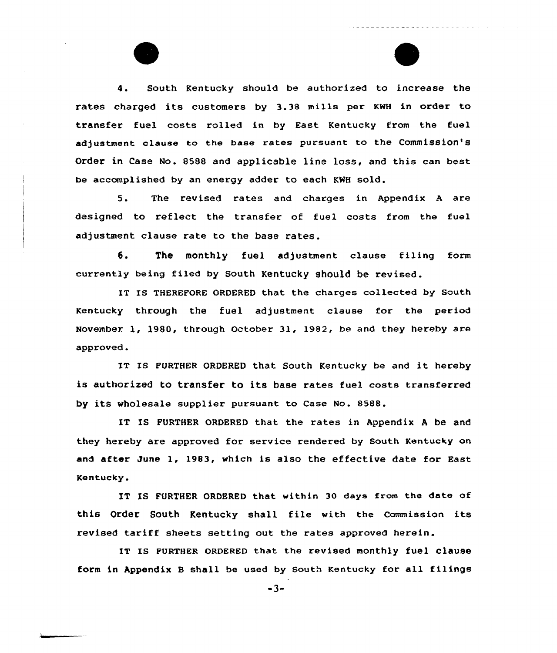4. South Kentucky should be authorized to increase the rates charged its customers by 3.38 mills per KWH in order to transfer fuel costs rolled in by East Kentucky from the fuel adjustment clause to the base rates pursuant to the Commission's Order in Case No. 8588 and applicable line loss, and this can best be accomplished by an energy adder to each KNH sold.

5. The revised rates and charges in Appendix <sup>A</sup> are designed to reflect the transfer af fuel costs from the fuel adjustment clause rate to the base rates.

6. The monthly fuel adjustment clause filing form currently being filed by South Kentucky should be revised.

IT IS THEREFORE ORDERED that the charges collected by South Kentucky through the fuel adjustment clause for the period November 1, 1980, through October 31, 1982, be and they hereby are approved.

IT IS FURTHER ORDERED that South Kentucky be and it hereby is authorized to transfer to its base rates fuel costs transferred by its wholesale supplier pursuant to Case No. 8588.

IT IS FURTHER ORDERED that the rates in Appendix <sup>A</sup> be and they hereby are approved for service rendered by South Kentucky an and after June 1, 1983, which is also the effective date for East Kentucky.

IT IS FURTHER ORDERED that within 30 days from the date of this order south Kentucky shall file with the commission its revised tariff sheets setting out the rates approved herein.

IT IS FURTHER ORDERED that the revised monthly fuel clause form in Appendix 8 shall be used by South Kentucky for all filings

 $-3-$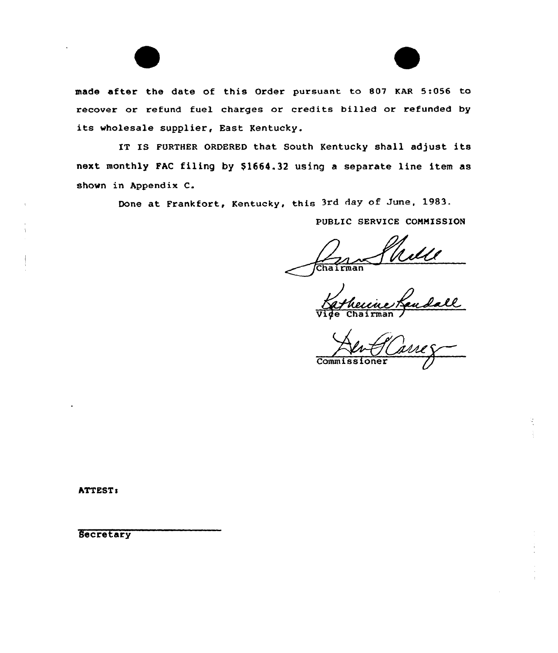

IT IS FURTHER ORDERED that South Kentucky shall adjust its next monthly FAC filing by \$1664.32 using a separate line item as shown in Appendix C.

Done at Frankfort, Kentucky, this 3rd day of June, 1983.

PUBLIC SERVICE CONMISSION

 $\overbrace{\text{Chairman}}$ 

and -Chairman

Commissioner

ATTESTs

**Secretary**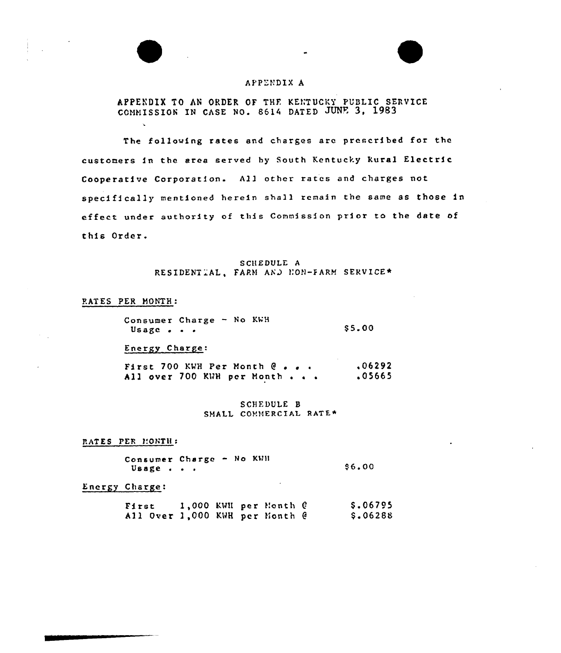## APPENDIX A

APPENDIX TO AN ORDER OF THE KENTUCKY PUBLIC SERVICE COMMISSION IN CASE NO. 8614 DATED JUNE 3, 1983

The following rates and charges are prescribed for the customers in the area served hy South Kentucky kural Electric Cooperative Corporation. All other Tates and charges not specifically mentioned herein shall remain the same as those in effect under authority of this Commission prior to the date of this Order.

#### S CHEDULE A RESIDENTIAL, FARM AND NON-FARM SERVICE\*

#### PATES PER MONTH:

| Consumer Charge - No KWH            |  |  |        |
|-------------------------------------|--|--|--------|
| Usage $\bullet$ $\bullet$ $\bullet$ |  |  | \$5.00 |

Energy Charge:

First 700 KWH Per Month  $Q \rightarrow \bullet$ All over  $700$  KWH per Month . . . ,06292 .05665

> SCHEDULE B SHALL COMMERCIAL RATE\*

RATES PER MONTH:

Consumer Charge - No KMH Usage . . . S6.00

Energy Charge:

| First                          |  | 1,000 KWN per Month @ | \$.06795 |
|--------------------------------|--|-----------------------|----------|
| All Over 1,000 KWH per Month @ |  |                       | \$.06288 |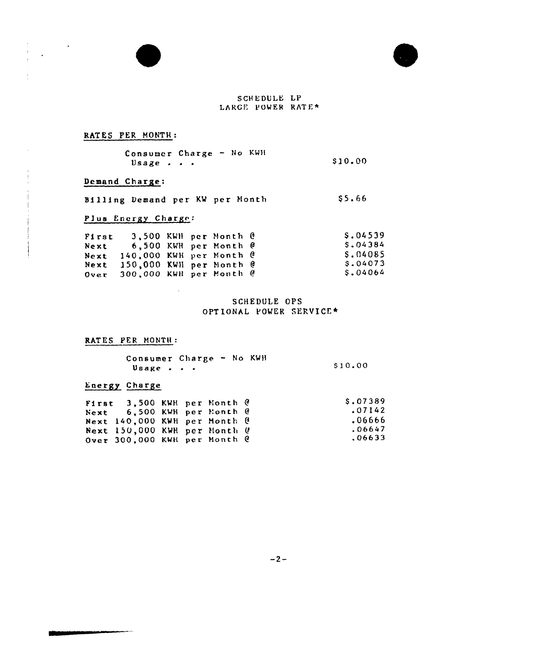

## RATES PER MONTH:

| Consumer Charge - No KWH |  |        |
|--------------------------|--|--------|
| $\n  Usage$              |  | S10.00 |

## Demand Charge:

Demand Charge:<br>Billing Demand per KW per Month (\$5.66)

## Plus Energy Charge:

 $\sim$ 

| First |                              |  | 3,500 KWH per Month @ | S.04539  |
|-------|------------------------------|--|-----------------------|----------|
| Next  |                              |  | 6.500 KWH per Month @ | S.04384  |
|       | Next 140,000 KWH per Month @ |  |                       | S.04085  |
|       | Next 150,000 KWH per Month @ |  |                       | S.04073  |
|       | Over 300,000 KWH per Month @ |  |                       | \$.04064 |

## SCHEDULE OPS OPTIONAL VOMER SERVICE\*

# RATES PER MONTH:

| Consumer Charge - No KWH      |  |         |
|-------------------------------|--|---------|
| Usage $\cdot$ $\cdot$ $\cdot$ |  | \$10.00 |

# Energy Charge

| First 3.500 KWH per Month @<br>Next 6.500 KWH per Month @<br>Next $140,000$ KWH per Month $\theta$ |  |  | S.07389<br>.07142<br>.06666 |
|----------------------------------------------------------------------------------------------------|--|--|-----------------------------|
| Next 150,000 KWH per Month &<br>Over $300,000$ KWH per Month $\theta$                              |  |  | .06647<br>.06633            |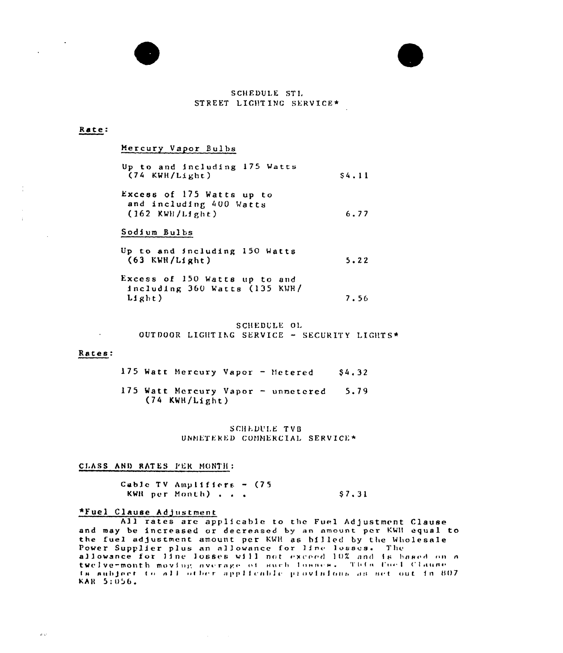

#### Rate:

Mercury Vapor Bulbs

| Up to and including 175 Watts<br>$(74$ KWH/Light) |  | <b>S4.11</b> |
|---------------------------------------------------|--|--------------|
|                                                   |  |              |

Excess of 175 Watts up to and including 400 Watts 6.77  $(162$  KWH/Light)

#### Sodium Bulbs

Up to and including 150 Watts  $(63$  KWH/Light)  $5.22$ 

Excess of 150 Watts up to and including 360 Watts (135 KWH/  $L1ght)$ 7.56

SCHEDULE OL OUTDOOR LIGHTING SERVICE - SECURITY LIGHTS\*

#### Rates:

 $\omega$   $\omega$ 

175 Watt Mercury Vapor - Metered  $$4,32$ 175 Watt Mercury Vapor - unmetered 5.79  $(74$  KWH/Light)

> SCHEDULE TVB UNMETERED COMMERCIAL SERVICE\*

#### CLASS AND RATES FER MONTH:

Cable TV Amplifiers -  $(75$ KWR per Month) . . .  $$7.31$ 

## \*Fuel Clause Adjustment

All rates are applicable to the Fuel Adjustment Clause and may be increased or decreased by an amount per KWH equal to the fuel adjustment amount per KWH as billed by the Wholesale Power Supplier plus an allowance for line losses. The allowance for line losses will not exceed 10% and is based on a twelve-month moving average of such losses. This fuel Clause ta aubject to all other applicable provisions as set out in 807 KAR 5:056.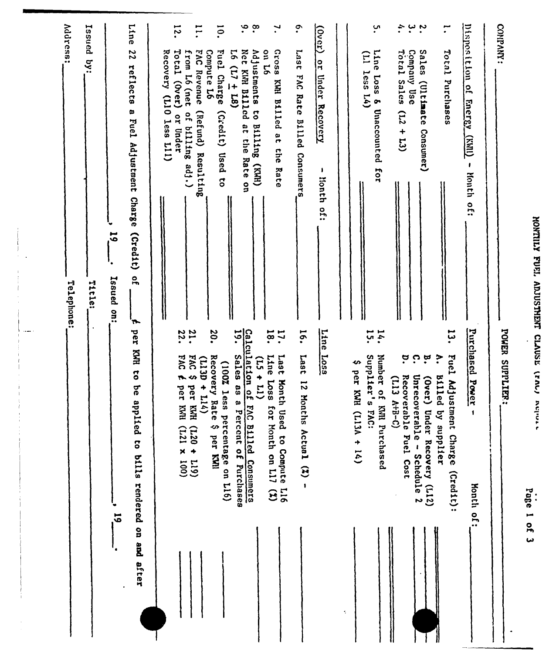| <b>CALLED</b>        |
|----------------------|
| <b>End</b>           |
| $\ddot{\phantom{0}}$ |
| <b>CLAUS</b>         |
| <b>Control</b>       |
| ć                    |

|                                                                                                          | Page I of 3                                                                                          |
|----------------------------------------------------------------------------------------------------------|------------------------------------------------------------------------------------------------------|
| COMPANY:                                                                                                 | POWER SUPPLIER:                                                                                      |
| Disposition of<br><b>Finer SY</b><br><b>FRITZ</b><br>ŧ<br><b>Honth of:</b>                               | Purchased<br>Power<br>$\mathbf{I}$<br><b>Honth of:</b>                                               |
| سم<br>•<br>Teter<br>Purchases                                                                            | سو<br>مبا<br>$\ddot{\cdot}$<br>Fuel Adjustment Charge (Credit):<br>Billed by supplier                |
| Sales<br>(Ultimate<br>Consumer)                                                                          | $\mathbf{\hat{a}}$<br>(Jver)<br>Under Recovery (L12)                                                 |
| $\ddot{\cdot}$<br>$\ddot{\phantom{0}}$<br>Total Sales<br>Company Use<br>$(1.2 + 1.3)$                    | ຸ¤<br>Ċ.<br>Recoverable Fuel Cost<br>Unrecoverable - Schedule 2<br>(113 A+B-C)                       |
| <u>ب</u><br>Line Loss & Unaccounted for                                                                  | $\mathbf{14}$<br>Number of KNII Purchased                                                            |
| $(11)$ less $1.4$                                                                                        | i.S.<br>Supplier's FAC:<br>↭<br>per KMH (L13A + 14)<br>÷,                                            |
| $\frac{(\text{12.1})}{(\text{12.1})}$<br>or Under Recovery<br>J.<br>Honth<br>of:                         | Line<br>Loss                                                                                         |
| $\ddot{\cdot}$<br>Last<br>FAC Rate Billed Consumers                                                      | ió.<br>Last<br>$\overline{z}$<br>Months Actual (Z) -                                                 |
| $\mathbf{L}$<br>ssozg<br><b>97 No</b><br>KWR Billed at the<br>Rate                                       | 18.<br>$\mathbf{1}$<br>Line<br>Last Month Used to Compute L16<br><b>Loss</b><br>for Month on L17 (%) |
| $\ddot{\bullet}$<br>$\cdot^{\infty}$<br>Net KWH B111cd<br>Adjustments to Billing (KWH)<br>at the Rate on | Calculation of<br>$(15 + 11)$<br>FAC Billed Consumers                                                |
| $16(17 \pm 18)$                                                                                          | $\mathbf{5}$ .<br>Sales as a Percent of Purchases<br>percentage on L16)                              |
| $\overline{5}$<br>Compute L6<br>Fuel Charge<br>$(c_{\text{red}})$<br><b>Used</b> to                      | 20.<br>Recovery Rate \$ per KMI<br>(100% less                                                        |
| $\overline{1}$<br>from L6 (net<br><b>DAS</b><br>Revenue<br>of billing adj.)<br>(Refund) Resulting        | $\frac{21}{22}$ .<br><b>DVI</b><br>$(113D + 114)$<br>ø<br>ber KMH (L20 + L19)                        |
| 12.<br>Total (Over) or Under<br>Recovery (L10 less L11)                                                  | DVJ<br>$\overline{\boldsymbol{\tau}}$<br>per KWI<br>$(121 \times 100)$                               |
| Line<br>22<br>reflects<br>a Fuel Adjustment Charge<br>(215)<br>$\frac{1}{2}$<br>'n.                      | per KWH to be applied to bills rendered on and after                                                 |
| 61<br>Issued on:                                                                                         | 19.                                                                                                  |
| Issued by:<br>Title:                                                                                     |                                                                                                      |
| Address:<br>Telephone:                                                                                   |                                                                                                      |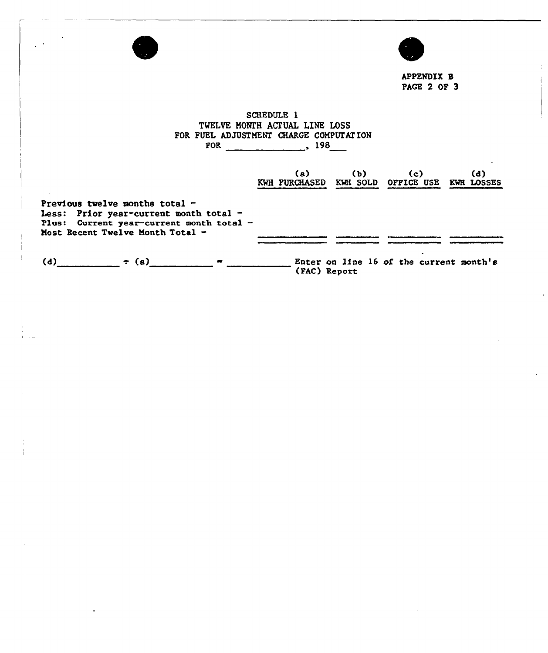|                                                                                                                                                            | <b>APPENDIX B</b><br><b>PAGE 2 OF 3</b>                                                                                     |
|------------------------------------------------------------------------------------------------------------------------------------------------------------|-----------------------------------------------------------------------------------------------------------------------------|
|                                                                                                                                                            | SCHEDULE 1<br>TWELVE MONTH ACTUAL LINE LOSS<br>FOR FUEL ADJUSTMENT CHARGE COMPUTATION<br>FOR $\sim$ 198                     |
|                                                                                                                                                            | (a) (b) (c)<br>(d)<br>KWH PURCHASED KWH SOLD OFFICE USE KWH LOSSES                                                          |
| Previous twelve months total $-$<br>Less: Prior year-current month total -<br>Plus: Current year-current month total -<br>Most Recent Twelve Month Total - |                                                                                                                             |
|                                                                                                                                                            | (d) $\bullet$ (a) $\bullet$ $\bullet$ $\bullet$ $\bullet$ $\bullet$ Enter on line 16 of the current month's<br>(FAC) Report |

i sa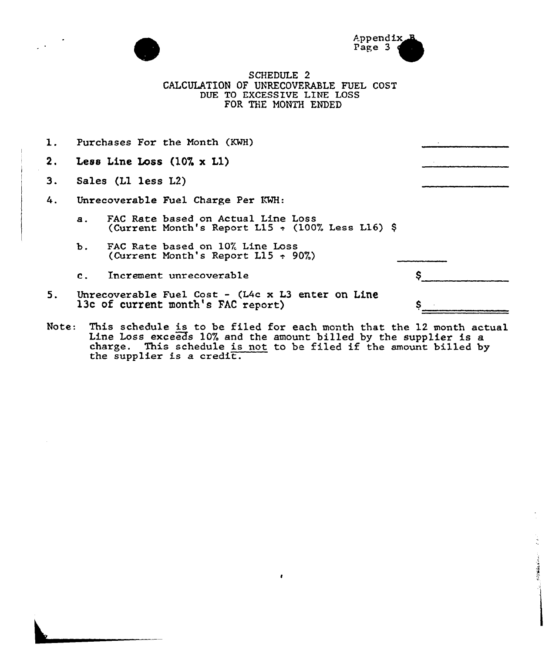



● その後は、「またのは、

SCHEDULE 2 CALCULATION OF UNRECOVERABLE FUEL COST DUE TO EXCESSIVE LINE LOSS FOR THE MONTH ENDED

| 1.    |                | Purchases For the Month (KWH)                                                                  |  |
|-------|----------------|------------------------------------------------------------------------------------------------|--|
| 2.    |                | Less Line Loss $(10\% \times L1)$                                                              |  |
| 3.    |                | Sales (L1 less L2)                                                                             |  |
| 4.    |                | Unrecoverable Fuel Charge Per KWH:                                                             |  |
|       | $\mathbf{a}$ . | FAC Rate based on Actual Line Loss<br>(Current Month's Report L15 $\div$ (100% Less L16) \$    |  |
|       | Ъ.             | FAC Rate based on 10% Line Loss<br>(Current Month's Report L15 $\div$ 90%)                     |  |
|       | $\mathbf{c}$ . | Increment unrecoverable                                                                        |  |
| 5.    |                | Unrecoverable Fuel Cost - $(L4c \times L3$ enter on Line<br>13c of current month's FAC report) |  |
| Note: |                | This schedule is to be filed for each month that the 12 month actual                           |  |

Line Loss exceeds 10% and the amount billed by the supplier is a Line Loss exceeds IV% and the amount billed by the supplier is a<br>charge. This schedule is not to be filed if the amount billed by<br>the supplier is a credit.

 $\pmb{\epsilon}$